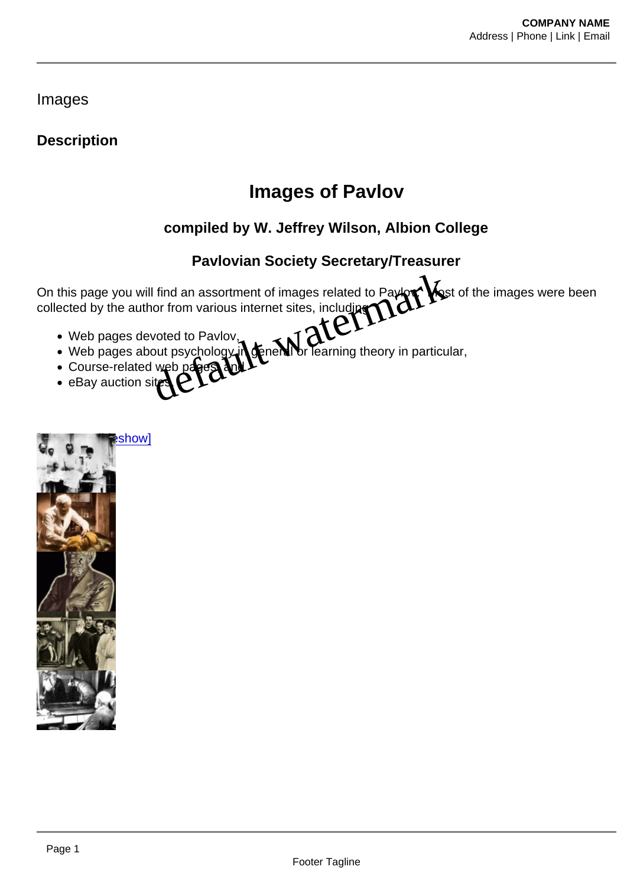Images

**Description** 

## Images of Pavlov

compiled by W. Jeffrey Wilson, Albion College

Pavlovian Society Secretary/Treasurer

On this page you will find an assortment of images related to Pavlov. Most of the images were been collected by the author from various internet sites, including Paviovian Society Secretary/Treasurer

- Web pages devoted to Pavlov,
- Web pages about psychology in general or learning theory in particular,
- Course-related web pages, and
- eBay auction si

[\[Show as slideshow\]](/nggallery/slideshow)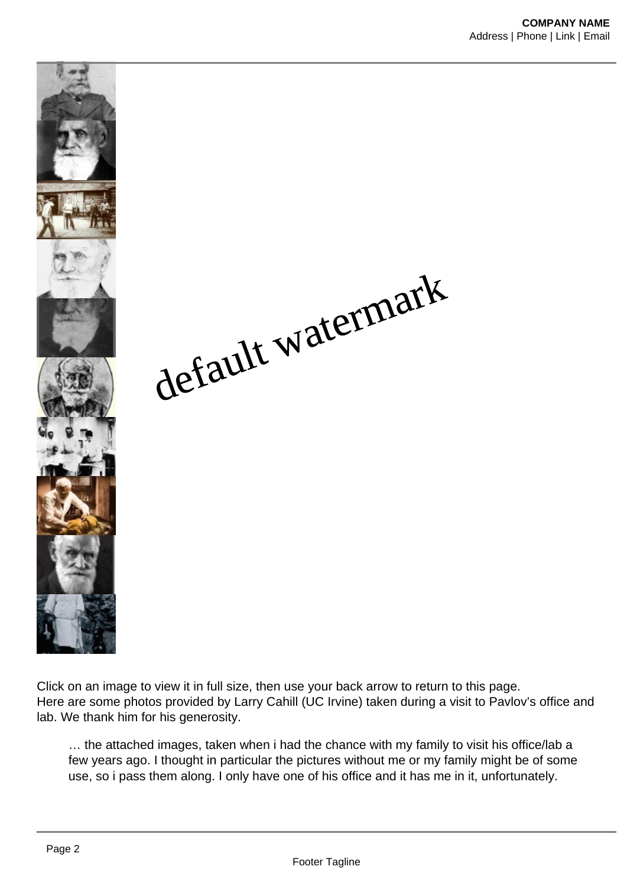default watermark

Click on an image to view it in full size, then use your back arrow to return to this page. Here are some photos provided by Larry Cahill (UC Irvine) taken during a visit to Pavlov's office and lab. We thank him for his generosity.

… the attached images, taken when i had the chance with my family to visit his office/lab a few years ago. I thought in particular the pictures without me or my family might be of some use, so i pass them along. I only have one of his office and it has me in it, unfortunately.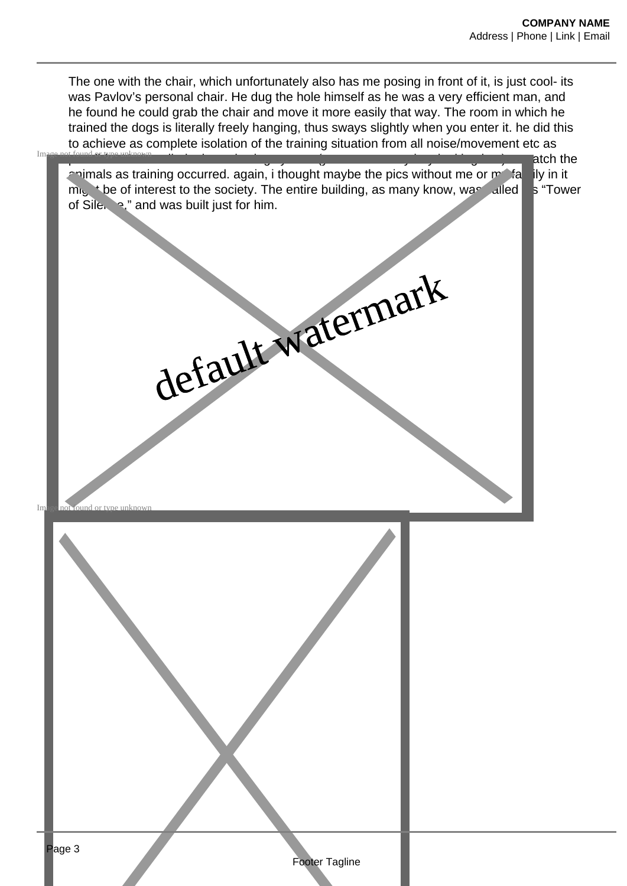The one with the chair, which unfortunately also has me posing in front of it, is just cool- its was Pavlov's personal chair. He dug the hole himself as he was a very efficient man, and he found he could grab the chair and move it more easily that way. The room in which he trained the dogs is literally freely hanging, thus sways slightly when you enter it. he did this to achieve as complete isolation of the training situation from all noise/movement etc as

|    | to achieve as complete isolation of the training situation from all holse/movement etc as<br>Image not found or type                                                                                                                                                                                         |
|----|--------------------------------------------------------------------------------------------------------------------------------------------------------------------------------------------------------------------------------------------------------------------------------------------------------------|
| Im | atch the<br>animals as training occurred. again, i thought maybe the pics without me or motal<br>ily in it<br>mighthere of interest to the society. The entire building, as many know, was alled<br>s "Tower<br>of Sile, 2," and was built just for him.<br>default watermark<br>a not found or type unknown |
|    |                                                                                                                                                                                                                                                                                                              |
|    | Page 3<br>Footer Tagline                                                                                                                                                                                                                                                                                     |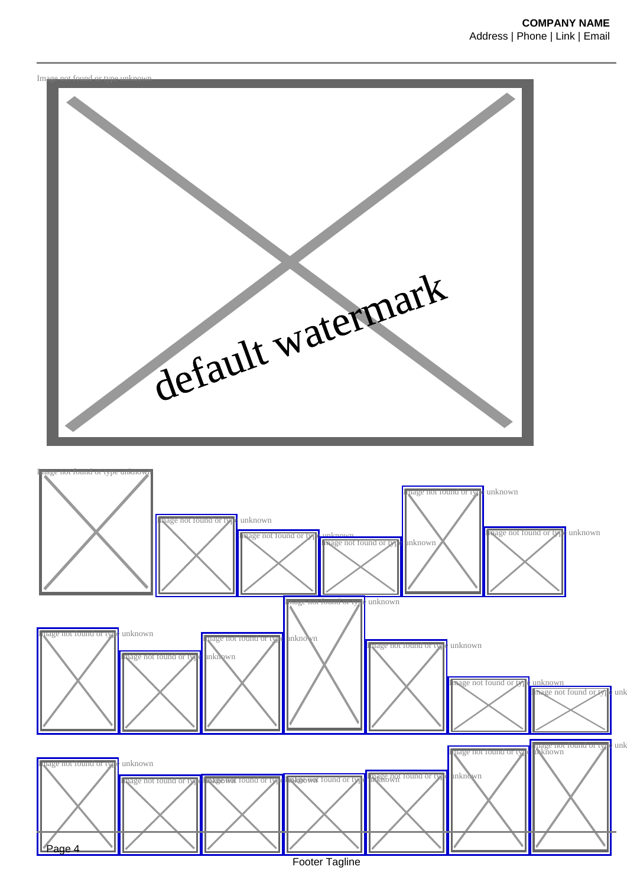

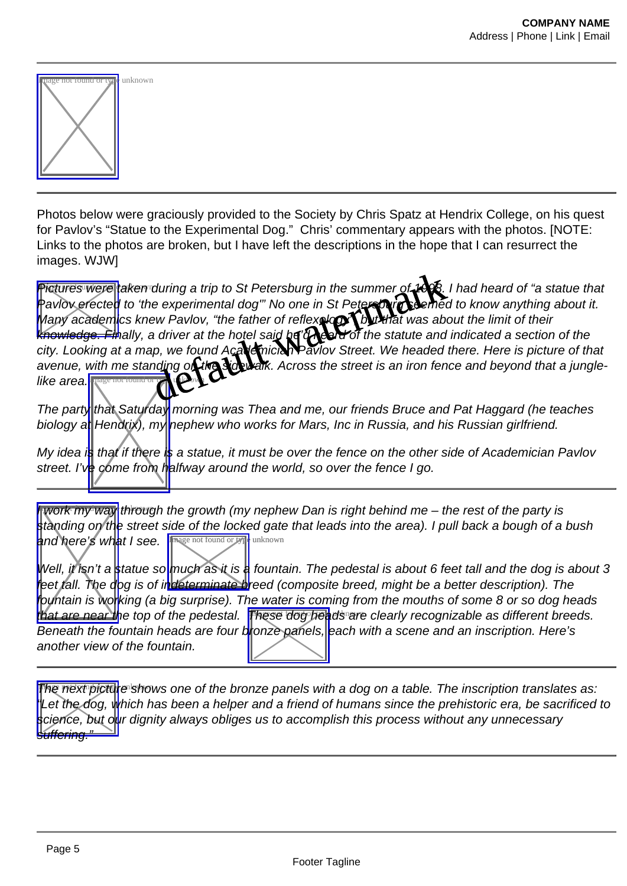| <u>tage not tound or g</u><br>V | pe unknown |
|---------------------------------|------------|
|                                 |            |

Photos below were graciously provided to the Society by Chris Spatz at Hendrix College, on his quest for Pavlov's "Statue to the Experimental Dog." Chris' commentary appears with the photos. [NOTE: Links to the photos are broken, but I have left the descriptions in the hope that I can resurrect the images. WJW]

[Pictures were](http://www.pavlovian.org/images/PICTURE1.JPG) taken during a trip to St Petersburg in the summer of 1998. I had heard of "a statue that Pavlov erected to 'the experimental dog'" No one in St Petersbury seemed to know anything about it. Many academics knew Pavlov, "the father of reflexe of that was about the limit of their knowledge. Finally, a driver at the hotel said heard of the statute and indicated a section of the city. Looking at a map, we found Academician Pavlov Street. We headed there. Here is picture of that avenue, with me standing on the sidewalk. Across the street is an iron fence and beyond that a junglelike area.**I** during a trip to St Petersburg in the summer of 1998. We<br>e experimental dog" No one in St Petersburg a sended to k<br>ew Pavlov, "the father of reflexed to that was about the<br>diver at the hotel said has about the statute and

The part[y that Saturday](http://www.pavlovian.org/images/PICTURE3.JPG) morning was Thea and me, our friends Bruce and Pat Haggard (he teaches biology at Hendrix), my hephew who works for Mars, Inc in Russia, and his Russian girlfriend.

My idea in that if there is a statue, it must be over the fence on the other side of Academician Pavlov street. I've come from halfway around the world, so over the fence I go.

**Work my way through the growth (my nephew Dan is right behind me – the rest of the party is** standing on the street side of the locked gate that leads into the area). I pull back a bough of a bush and here's what I see. In age not found or the unknown

Well, it isn't a statue s[o much as it is a](http://www.pavlovian.org/images/PICTURE6.JPG) fountain. The pedestal is about 6 feet tall and the dog is about 3 feet tall. The dog is of indeterminate breed (composite breed, might be a better description). The fountain is working (a big surprise). The water is coming from the mouths of some 8 or so dog heads that are near the top of the pedestal. [These dog hea](http://www.pavlovian.org/images/PICTURE5.JPG)ds are clearly recognizable as different breeds. Beneath the fountain heads are four bronze panels, each with a scene and an inscription. Here's another view of the fountain.

[The next pictu](http://www.pavlovian.org/images/picture12.jpg)re shows one of the bronze panels with a dog on a table. The inscription translates as: Let the dog, which has been a helper and a friend of humans since the prehistoric era, be sacrificed to science, but our dignity always obliges us to accomplish this process without any unnecessary suffering."